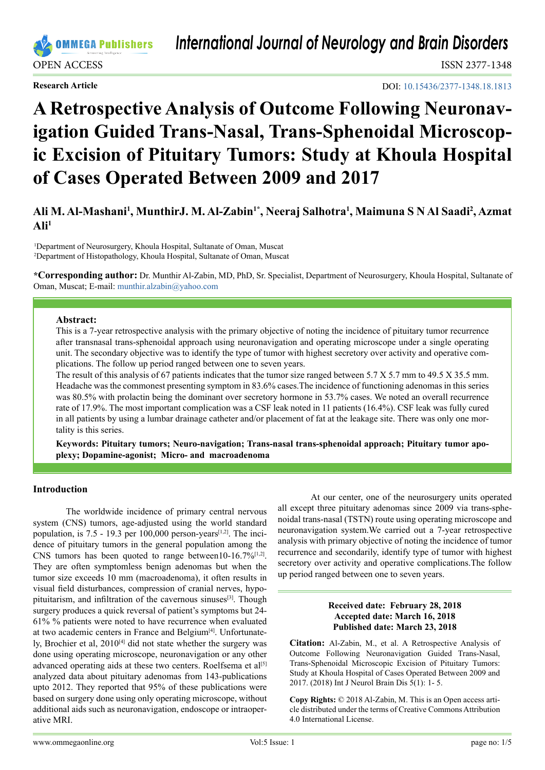DOI: [10.15436/2377-1348.18.1](https://doi.org/10.15436/2377-1348.18.1813)813

# **A Retrospective Analysis of Outcome Following Neuronavigation Guided Trans-Nasal, Trans-Sphenoidal Microscopic Excision of Pituitary Tumors: Study at Khoula Hospital of Cases Operated Between 2009 and 2017**

Ali M. Al-Mashani<sup>1</sup>, MunthirJ. M. Al-Zabin<sup>1\*</sup>, Neeraj Salhotra<sup>1</sup>, Maimuna S N Al Saadi<sup>2</sup>, Azmat  $\mathbf{A}$ li<sup>1</sup>

1 Department of Neurosurgery, Khoula Hospital, Sultanate of Oman, Muscat 2 Department of Histopathology, Khoula Hospital, Sultanate of Oman, Muscat

**\*Corresponding author:** Dr. Munthir Al-Zabin, MD, PhD, Sr. Specialist, Department of Neurosurgery, Khoula Hospital, Sultanate of Oman, Muscat; E-mail: [munthir.alzabin@yahoo.com](mailto:munthir.alzabin%40yahoo.com?subject=)

## **Abstract:**

This is a 7-year retrospective analysis with the primary objective of noting the incidence of pituitary tumor recurrence after transnasal trans-sphenoidal approach using neuronavigation and operating microscope under a single operating unit. The secondary objective was to identify the type of tumor with highest secretory over activity and operative complications. The follow up period ranged between one to seven years.

The result of this analysis of 67 patients indicates that the tumor size ranged between 5.7 X 5.7 mm to 49.5 X 35.5 mm. Headache was the commonest presenting symptom in 83.6% cases.The incidence of functioning adenomas in this series was 80.5% with prolactin being the dominant over secretory hormone in 53.7% cases. We noted an overall recurrence rate of 17.9%. The most important complication was a CSF leak noted in 11 patients (16.4%). CSF leak was fully cured in all patients by using a lumbar drainage catheter and/or placement of fat at the leakage site. There was only one mortality is this series.

**Keywords: Pituitary tumors; Neuro-navigation; Trans-nasal trans-sphenoidal approach; Pituitary tumor apoplexy; Dopamine-agonist; Micro- and macroadenoma**

## **Introduction**

The worldwide incidence of primary central nervous system (CNS) tumors, age-adjusted using the world standard population, is  $7.5 - 19.3$  per  $100,000$  person-years<sup>[1,2]</sup>. The incidence of pituitary tumors in the general population among the CNS tumors has been quoted to range between10-16.7% $[1,2]$ . They are often symptomless benign adenomas but when the tumor size exceeds 10 mm (macroadenoma), it often results in visual field disturbances, compression of cranial nerves, hypopituitarism, and infiltration of the cavernous sinuses<sup>[3]</sup>. Though surgery produces a quick reversal of patient's symptoms but 24- 61% % patients were noted to have recurrence when evaluated at two academic centers in France and Belgium<sup>[4]</sup>. Unfortunately, Brochier et al, 2010<sup>[4]</sup> did not state whether the surgery was done using operating microscope, neuronavigation or any other advanced operating aids at these two centers. Roelfsema et al<sup>[\[5\]](#page-4-2)</sup> analyzed data about pituitary adenomas from 143-publications upto 2012. They reported that 95% of these publications were based on surgery done using only operating microscope, without additional aids such as neuronavigation, endoscope or intraoperative MRI.

At our center, one of the neurosurgery units operated all except three pituitary adenomas since 2009 via trans-sphenoidal trans-nasal (TSTN) route using operating microscope and neuronavigation system.We carried out a 7-year retrospective analysis with primary objective of noting the incidence of tumor recurrence and secondarily, identify type of tumor with highest secretory over activity and operative complications.The follow up period ranged between one to seven years.

## **Received date: February 28, 2018 Accepted date: March 16, 2018 Published date: March 23, 2018**

**Citation:** Al-Zabin, M., et al. A Retrospective Analysis of Outcome Following Neuronavigation Guided Trans-Nasal, Trans-Sphenoidal Microscopic Excision of Pituitary Tumors: Study at Khoula Hospital of Cases Operated Between 2009 and 2017. (2018) Int J Neurol Brain Dis 5(1): 1- 5.

**Copy Rights:** © 2018 Al-Zabin, M. This is an Open access article distributed under the terms of Creative Commons Attribution 4.0 International License.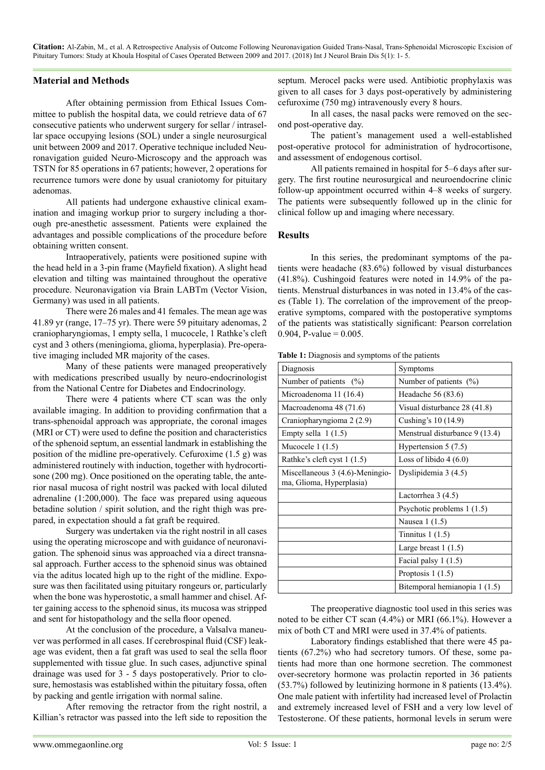**Citation:** Al-Zabin, M., et al. A Retrospective Analysis of Outcome Following Neuronavigation Guided Trans-Nasal, Trans-Sphenoidal Microscopic Excision of Pituitary Tumors: Study at Khoula Hospital of Cases Operated Between 2009 and 2017. (2018) Int J Neurol Brain Dis 5(1): 1- 5.

# **Material and Methods**

After obtaining permission from Ethical Issues Committee to publish the hospital data, we could retrieve data of 67 consecutive patients who underwent surgery for sellar / intrasellar space occupying lesions (SOL) under a single neurosurgical unit between 2009 and 2017. Operative technique included Neuronavigation guided Neuro-Microscopy and the approach was TSTN for 85 operations in 67 patients; however, 2 operations for recurrence tumors were done by usual craniotomy for pituitary adenomas.

All patients had undergone exhaustive clinical examination and imaging workup prior to surgery including a thorough pre-anesthetic assessment. Patients were explained the advantages and possible complications of the procedure before obtaining written consent.

Intraoperatively, patients were positioned supine with the head held in a 3-pin frame (Mayfield fixation). A slight head elevation and tilting was maintained throughout the operative procedure. Neuronavigation via Brain LABTm (Vector Vision, Germany) was used in all patients.

There were 26 males and 41 females. The mean age was 41.89 yr (range, 17–75 yr). There were 59 pituitary adenomas, 2 craniopharyngiomas, 1 empty sella, 1 mucocele, 1 Rathke's cleft cyst and 3 others (meningioma, glioma, hyperplasia). Pre-operative imaging included MR majority of the cases.

Many of these patients were managed preoperatively with medications prescribed usually by neuro-endocrinologist from the National Centre for Diabetes and Endocrinology.

There were 4 patients where CT scan was the only available imaging. In addition to providing confirmation that a trans-sphenoidal approach was appropriate, the coronal images (MRI or CT) were used to define the position and characteristics of the sphenoid septum, an essential landmark in establishing the position of the midline pre-operatively. Cefuroxime (1.5 g) was administered routinely with induction, together with hydrocortisone (200 mg). Once positioned on the operating table, the anterior nasal mucosa of right nostril was packed with local diluted adrenaline (1:200,000). The face was prepared using aqueous betadine solution / spirit solution, and the right thigh was prepared, in expectation should a fat graft be required.

Surgery was undertaken via the right nostril in all cases using the operating microscope and with guidance of neuronavigation. The sphenoid sinus was approached via a direct transnasal approach. Further access to the sphenoid sinus was obtained via the aditus located high up to the right of the midline. Exposure was then facilitated using pituitary rongeurs or, particularly when the bone was hyperostotic, a small hammer and chisel. After gaining access to the sphenoid sinus, its mucosa was stripped and sent for histopathology and the sella floor opened.

At the conclusion of the procedure, a Valsalva maneuver was performed in all cases. If cerebrospinal fluid (CSF) leakage was evident, then a fat graft was used to seal the sella floor supplemented with tissue glue. In such cases, adjunctive spinal drainage was used for 3 - 5 days postoperatively. Prior to closure, hemostasis was established within the pituitary fossa, often by packing and gentle irrigation with normal saline.

After removing the retractor from the right nostril, a Killian's retractor was passed into the left side to reposition the septum. Merocel packs were used. Antibiotic prophylaxis was given to all cases for 3 days post-operatively by administering cefuroxime (750 mg) intravenously every 8 hours.

In all cases, the nasal packs were removed on the second post-operative day.

The patient's management used a well-established post-operative protocol for administration of hydrocortisone, and assessment of endogenous cortisol.

All patients remained in hospital for 5–6 days after surgery. The first routine neurosurgical and neuroendocrine clinic follow-up appointment occurred within 4–8 weeks of surgery. The patients were subsequently followed up in the clinic for clinical follow up and imaging where necessary.

## **Results**

In this series, the predominant symptoms of the patients were headache (83.6%) followed by visual disturbances (41.8%). Cushingoid features were noted in 14.9% of the patients. Menstrual disturbances in was noted in 13.4% of the cases (Table 1). The correlation of the improvement of the preoperative symptoms, compared with the postoperative symptoms of the patients was statistically significant: Pearson correlation 0.904, P-value =  $0.005$ .

**Table 1:** Diagnosis and symptoms of the patients

| Diagnosis                                                   | Symptoms                       |
|-------------------------------------------------------------|--------------------------------|
| Number of patients $(%)$                                    | Number of patients $(%)$       |
| Microadenoma 11 (16.4)                                      | Headache 56 (83.6)             |
| Macroadenoma 48 (71.6)                                      | Visual disturbance 28 (41.8)   |
| Craniopharyngioma 2 (2.9)                                   | Cushing's 10 (14.9)            |
| Empty sella $1(1.5)$                                        | Menstrual disturbance 9 (13.4) |
| Mucocele $1(1.5)$                                           | Hypertension $5(7.5)$          |
| Rathke's cleft cyst 1 (1.5)                                 | Loss of libido $4(6.0)$        |
| Miscellaneous 3 (4.6)-Meningio-<br>ma, Glioma, Hyperplasia) | Dyslipidemia 3 (4.5)           |
|                                                             | Lactorrhea $3(4.5)$            |
|                                                             | Psychotic problems 1 (1.5)     |
|                                                             | Nausea 1 (1.5)                 |
|                                                             | Tinnitus $1(1.5)$              |
|                                                             | Large breast $1(1.5)$          |
|                                                             | Facial palsy 1 (1.5)           |
|                                                             | Proptosis $1(1.5)$             |
|                                                             | Bitemporal hemianopia 1 (1.5)  |

The preoperative diagnostic tool used in this series was noted to be either CT scan (4.4%) or MRI (66.1%). However a mix of both CT and MRI were used in 37.4% of patients.

Laboratory findings established that there were 45 patients (67.2%) who had secretory tumors. Of these, some patients had more than one hormone secretion. The commonest over-secretory hormone was prolactin reported in 36 patients (53.7%) followed by leutinizing hormone in 8 patients (13.4%). One male patient with infertility had increased level of Prolactin and extremely increased level of FSH and a very low level of Testosterone. Of these patients, hormonal levels in serum were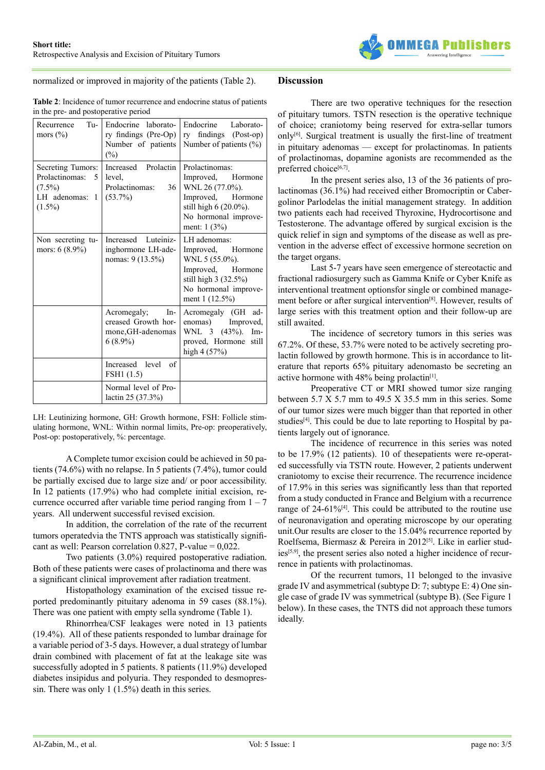

normalized or improved in majority of the patients (Table 2).

## **Discussion**

**Table 2**: Incidence of tumor recurrence and endocrine status of patients in the pre- and postoperative period

| Tu-<br>Recurrence<br>mors $(\% )$                                                     | Endocrine laborato-<br>ry findings (Pre-Op)<br>Number of patients<br>$(\%)$  | Endocrine<br>Laborato-<br>ry findings (Post-op)<br>Number of patients (%)                                                                     |
|---------------------------------------------------------------------------------------|------------------------------------------------------------------------------|-----------------------------------------------------------------------------------------------------------------------------------------------|
| Secreting Tumors:<br>Prolactinomas:<br>-5<br>$(7.5\%)$<br>LH adenomas: 1<br>$(1.5\%)$ | Increased Prolactin<br>level,<br>Prolactinomas:<br>36<br>$(53.7\%)$          | Prolactinomas:<br>Improved, Hormone<br>WNL 26 (77.0%).<br>Improved, Hormone<br>still high 6 (20.0%).<br>No hormonal improve-<br>ment: $1(3%)$ |
| Non secreting tu-<br>mors: $6(8.9\%)$                                                 | Increased Luteiniz-<br>inghormone LH-ade-<br>nomas: 9 (13.5%)                | LH adenomas:<br>Improved, Hormone<br>WNL 5 (55.0%).<br>Improved, Hormone<br>still high 3 (32.5%)<br>No hormonal improve-<br>ment $1(12.5%)$   |
|                                                                                       | Acromegaly;<br>In-<br>creased Growth hor-<br>mone, GH-adenomas<br>$6(8.9\%)$ | Acromegaly (GH ad-<br>enomas) Improved,<br>WNL 3 (43%).<br>Im-<br>proved, Hormone<br>still<br>high 4 (57%)                                    |
|                                                                                       | Increased level of<br>FSH1 (1.5)                                             |                                                                                                                                               |
|                                                                                       | Normal level of Pro-<br>lactin 25 (37.3%)                                    |                                                                                                                                               |

LH: Leutinizing hormone, GH: Growth hormone, FSH: Follicle stimulating hormone, WNL: Within normal limits, Pre-op: preoperatively, Post-op: postoperatively, %: percentage.

A Complete tumor excision could be achieved in 50 patients (74.6%) with no relapse. In 5 patients (7.4%), tumor could be partially excised due to large size and/ or poor accessibility. In 12 patients (17.9%) who had complete initial excision, recurrence occurred after variable time period ranging from  $1 - 7$ years. All underwent successful revised excision.

In addition, the correlation of the rate of the recurrent tumors operatedvia the TNTS approach was statistically significant as well: Pearson correlation  $0.827$ , P-value =  $0.022$ .

Two patients (3.0%) required postoperative radiation. Both of these patients were cases of prolactinoma and there was a significant clinical improvement after radiation treatment.

Histopathology examination of the excised tissue reported predominantly pituitary adenoma in 59 cases (88.1%). There was one patient with empty sella syndrome (Table 1).

Rhinorrhea/CSF leakages were noted in 13 patients (19.4%). All of these patients responded to lumbar drainage for a variable period of 3-5 days. However, a dual strategy of lumbar drain combined with placement of fat at the leakage site was successfully adopted in 5 patients. 8 patients (11.9%) developed diabetes insipidus and polyuria. They responded to desmopressin. There was only 1 (1.5%) death in this series.

There are two operative techniques for the resection of pituitary tumors. TSTN resection is the operative technique of choice; craniotomy being reserved for extra-sellar tumors only $[6]$ . Surgical treatment is usually the first-line of treatment in pituitary adenomas — except for prolactinomas. In patients of prolactinomas, dopamine agonists are recommended as the preferred choice<sup>[\[6,7\]](#page-4-3)</sup>.

In the present series also, 13 of the 36 patients of prolactinomas (36.1%) had received either Bromocriptin or Cabergolinor Parlodelas the initial management strategy. In addition two patients each had received Thyroxine, Hydrocortisone and Testosterone. The advantage offered by surgical excision is the quick relief in sign and symptoms of the disease as well as prevention in the adverse effect of excessive hormone secretion on the target organs.

Last 5-7 years have seen emergence of stereotactic and fractional radiosurgery such as Gamma Knife or Cyber Knife as interventional treatment optionsfor single or combined management before or after surgical intervention[\[8\].](#page-4-4) However, results of large series with this treatment option and their follow-up are still awaited.

The incidence of secretory tumors in this series was 67.2%. Of these, 53.7% were noted to be actively secreting prolactin followed by growth hormone. This is in accordance to literature that reports 65% pituitary adenomasto be secreting an active hormone with  $48\%$  being prolactin<sup>[1]</sup>.

Preoperative CT or MRI showed tumor size ranging between 5.7 X 5.7 mm to 49.5 X 35.5 mm in this series. Some of our tumor sizes were much bigger than that reported in other studies<sup>[4]</sup>. This could be due to late reporting to Hospital by patients largely out of ignorance.

The incidence of recurrence in this series was noted to be 17.9% (12 patients). 10 of thesepatients were re-operated successfully via TSTN route. However, 2 patients underwent craniotomy to excise their recurrence. The recurrence incidence of 17.9% in this series was significantly less than that reported from a study conducted in France and Belgium with a recurrence range of 24-61%[\[4\].](#page-4-1) This could be attributed to the routine use of neuronavigation and operating microscope by our operating unit.Our results are closer to the 15.04% recurrence reported by Roelfsema, Biermasz & Pereira in 2012<sup>[5]</sup>. Like in earlier studies<sup>[5,9]</sup>, the present series also noted a higher incidence of recurrence in patients with prolactinomas.

Of the recurrent tumors, 11 belonged to the invasive grade IV and asymmetrical (subtype D: 7; subtype E: 4) One single case of grade IV was symmetrical (subtype B). (See Figure 1 below). In these cases, the TNTS did not approach these tumors ideally.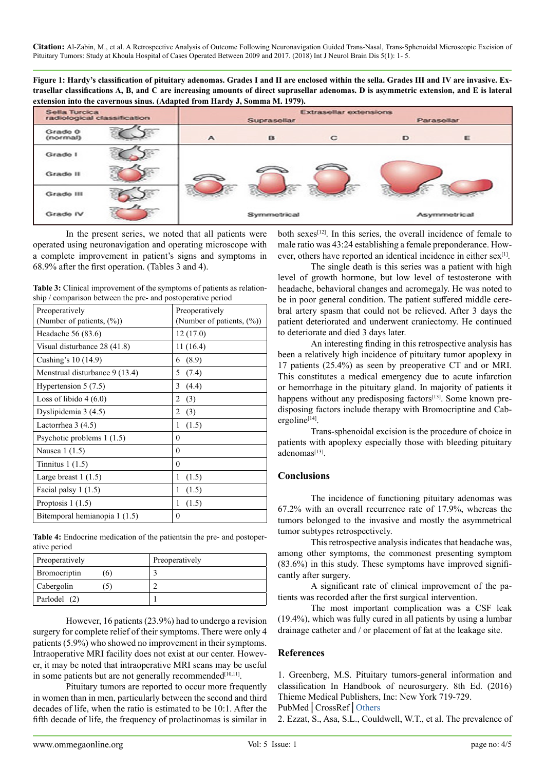**Citation:** Al-Zabin, M., et al. A Retrospective Analysis of Outcome Following Neuronavigation Guided Trans-Nasal, Trans-Sphenoidal Microscopic Excision of Pituitary Tumors: Study at Khoula Hospital of Cases Operated Between 2009 and 2017. (2018) Int J Neurol Brain Dis 5(1): 1- 5.

**Figure 1: Hardy's classification of pituitary adenomas. Grades I and II are enclosed within the sella. Grades III and IV are invasive. Extrasellar classifications A, B, and C are increasing amounts of direct suprasellar adenomas. D is asymmetric extension, and E is lateral extension into the cavernous sinus. (Adapted from Hardy J, Somma M. 1979).**

| Sella Turcica<br>radiological classification |              | <b>Extrasellar extensions</b><br>Parasellar<br>Suprasellar |   |   |              |
|----------------------------------------------|--------------|------------------------------------------------------------|---|---|--------------|
| Grade 0<br>(normal)                          | $\mathbf{A}$ | B                                                          | C | D | ε            |
| Grade I                                      |              |                                                            |   |   |              |
| Grade II                                     |              |                                                            |   |   |              |
| Grade III                                    |              | w.                                                         |   |   |              |
| Grade IV                                     |              | Symmetrical                                                |   |   | Asymmetrical |

In the present series, we noted that all patients were operated using neuronavigation and operating microscope with a complete improvement in patient's signs and symptoms in 68.9% after the first operation. (Tables 3 and 4).

**Table 3:** Clinical improvement of the symptoms of patients as relationship / comparison between the pre- and postoperative period

| Preoperatively                 | Preoperatively                |
|--------------------------------|-------------------------------|
| (Number of patients, $(\%)$ )  | (Number of patients, $(\%)$ ) |
| Headache 56 (83.6)             | 12(17.0)                      |
| Visual disturbance 28 (41.8)   | 11(16.4)                      |
| Cushing's 10 (14.9)            | (8.9)<br>6                    |
| Menstrual disturbance 9 (13.4) | 5<br>(7.4)                    |
| Hypertension $5(7.5)$          | 3<br>(4.4)                    |
| Loss of libido $4(6.0)$        | (3)<br>2                      |
| Dyslipidemia 3 (4.5)           | (3)<br>2                      |
| Lactorrhea $3(4.5)$            | 1<br>(1.5)                    |
| Psychotic problems 1 (1.5)     | $\theta$                      |
| Nausea 1 (1.5)                 | $\theta$                      |
| Tinnitus $1(1.5)$              | $\Omega$                      |
| Large breast $1(1.5)$          | 1<br>(1.5)                    |
| Facial palsy $1(1.5)$          | (1.5)<br>1                    |
| Proptosis $1(1.5)$             | (1.5)<br>1                    |
| Bitemporal hemianopia 1 (1.5)  | $\theta$                      |

**Table 4:** Endocrine medication of the patientsin the pre- and postoperative period

| Preoperatively |     | Preoperatively |
|----------------|-----|----------------|
| Bromocriptin   | .6) |                |
| Cabergolin     |     |                |
| Parlodel (2)   |     |                |

However, 16 patients (23.9%) had to undergo a revision surgery for complete relief of their symptoms. There were only 4 patients (5.9%) who showed no improvement in their symptoms. Intraoperative MRI facility does not exist at our center. However, it may be noted that intraoperative MRI scans may be useful in some patients but are not generally recommended $[10,11]$ .

Pituitary tumors are reported to occur more frequently in women than in men, particularly between the second and third decades of life, when the ratio is estimated to be 10:1. After the fifth decade of life, the frequency of prolactinomas is similar in

both sexes<sup>[\[12\]](#page-4-6)</sup>. In this series, the overall incidence of female to male ratio was 43:24 establishing a female preponderance. However, others have reported an identical incidence in either sex<sup>[1]</sup>.

The single death is this series was a patient with high level of growth hormone, but low level of testosterone with headache, behavioral changes and acromegaly. He was noted to be in poor general condition. The patient suffered middle cerebral artery spasm that could not be relieved. After 3 days the patient deteriorated and underwent craniectomy. He continued to deteriorate and died 3 days later.

An interesting finding in this retrospective analysis has been a relatively high incidence of pituitary tumor apoplexy in 17 patients (25.4%) as seen by preoperative CT and or MRI. This constitutes a medical emergency due to acute infarction or hemorrhage in the pituitary gland. In majority of patients it happens without any predisposing factors<sup>[13]</sup>. Some known predisposing factors include therapy with Bromocriptine and Cabergoline<sup>[14]</sup>.

Trans-sphenoidal excision is the procedure of choice in patients with apoplexy especially those with bleeding pituitary adenomas<sup>[\[13\]](#page-4-7)</sup>.

# **Conclusions**

The incidence of functioning pituitary adenomas was 67.2% with an overall recurrence rate of 17.9%, whereas the tumors belonged to the invasive and mostly the asymmetrical tumor subtypes retrospectively.

This retrospective analysis indicates that headache was, among other symptoms, the commonest presenting symptom (83.6%) in this study. These symptoms have improved significantly after surgery.

A significant rate of clinical improvement of the patients was recorded after the first surgical intervention.

The most important complication was a CSF leak (19.4%), which was fully cured in all patients by using a lumbar drainage catheter and / or placement of fat at the leakage site.

## **References**

<span id="page-3-0"></span>1. Greenberg, M.S. Pituitary tumors-general information and classification In Handbook of neurosurgery. 8th Ed. (2016) Thieme Medical Publishers, Inc: New York 719-729.

PubMed│CrossRef│[Others](mailto:https://www.scribd.com/document/336584326/Handbook-of-NS-Greenberg-8thEd-All?subject=)

2. Ezzat, S., Asa, S.L., Couldwell, W.T., et al. The prevalence of